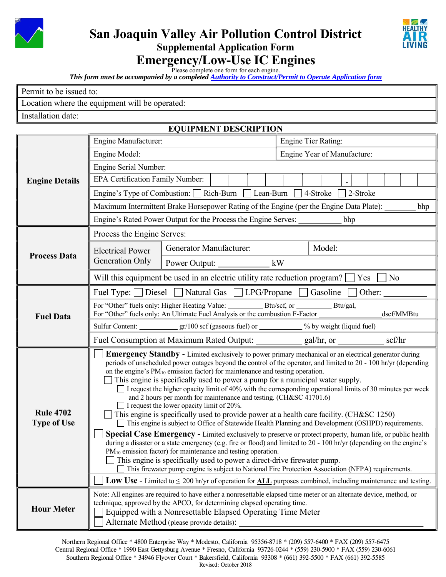

# San Joaquin Valley Air Pollution Control District Supplemental Application Form **Emergency/Low-Use IC Engines**



Please complete one form for each engine.

*This form must be accompanied by a completed [Authority to Construct/Permit to Operate Application form](http://www.valleyair.org/busind/pto/ptoforms/1ptoformidx.htm)*

Location where the equipment will be operated:

Installation date:

### EQUIPMENT DESCRIPTION

|                                        | Engine Manufacturer:                                                                                                                                                                                                                                                                                                                                                                                                                                                                                                                                                                                                                                                                                                                                                                                                                                                                                                                                                                                                                                                                                                                                                     |                                                                                                      | <b>Engine Tier Rating:</b>                                                                      |  |  |
|----------------------------------------|--------------------------------------------------------------------------------------------------------------------------------------------------------------------------------------------------------------------------------------------------------------------------------------------------------------------------------------------------------------------------------------------------------------------------------------------------------------------------------------------------------------------------------------------------------------------------------------------------------------------------------------------------------------------------------------------------------------------------------------------------------------------------------------------------------------------------------------------------------------------------------------------------------------------------------------------------------------------------------------------------------------------------------------------------------------------------------------------------------------------------------------------------------------------------|------------------------------------------------------------------------------------------------------|-------------------------------------------------------------------------------------------------|--|--|
|                                        | Engine Model:                                                                                                                                                                                                                                                                                                                                                                                                                                                                                                                                                                                                                                                                                                                                                                                                                                                                                                                                                                                                                                                                                                                                                            |                                                                                                      | Engine Year of Manufacture:                                                                     |  |  |
|                                        | Engine Serial Number:                                                                                                                                                                                                                                                                                                                                                                                                                                                                                                                                                                                                                                                                                                                                                                                                                                                                                                                                                                                                                                                                                                                                                    |                                                                                                      |                                                                                                 |  |  |
| <b>Engine Details</b>                  | EPA Certification Family Number:                                                                                                                                                                                                                                                                                                                                                                                                                                                                                                                                                                                                                                                                                                                                                                                                                                                                                                                                                                                                                                                                                                                                         |                                                                                                      |                                                                                                 |  |  |
|                                        | Engine's Type of Combustion: $\Box$ Rich-Burn $\Box$ Lean-Burn $\Box$ 4-Stroke<br>2-Stroke                                                                                                                                                                                                                                                                                                                                                                                                                                                                                                                                                                                                                                                                                                                                                                                                                                                                                                                                                                                                                                                                               |                                                                                                      |                                                                                                 |  |  |
|                                        | Maximum Intermittent Brake Horsepower Rating of the Engine (per the Engine Data Plate): _______<br>bhp                                                                                                                                                                                                                                                                                                                                                                                                                                                                                                                                                                                                                                                                                                                                                                                                                                                                                                                                                                                                                                                                   |                                                                                                      |                                                                                                 |  |  |
|                                        | Engine's Rated Power Output for the Process the Engine Serves: ___________<br>bhp                                                                                                                                                                                                                                                                                                                                                                                                                                                                                                                                                                                                                                                                                                                                                                                                                                                                                                                                                                                                                                                                                        |                                                                                                      |                                                                                                 |  |  |
|                                        | Process the Engine Serves:                                                                                                                                                                                                                                                                                                                                                                                                                                                                                                                                                                                                                                                                                                                                                                                                                                                                                                                                                                                                                                                                                                                                               |                                                                                                      |                                                                                                 |  |  |
| <b>Process Data</b>                    | <b>Electrical Power</b>                                                                                                                                                                                                                                                                                                                                                                                                                                                                                                                                                                                                                                                                                                                                                                                                                                                                                                                                                                                                                                                                                                                                                  | Generator Manufacturer:                                                                              | Model:                                                                                          |  |  |
|                                        | Generation Only                                                                                                                                                                                                                                                                                                                                                                                                                                                                                                                                                                                                                                                                                                                                                                                                                                                                                                                                                                                                                                                                                                                                                          | Power Output: _________________ kW                                                                   |                                                                                                 |  |  |
|                                        |                                                                                                                                                                                                                                                                                                                                                                                                                                                                                                                                                                                                                                                                                                                                                                                                                                                                                                                                                                                                                                                                                                                                                                          |                                                                                                      | Will this equipment be used in an electric utility rate reduction program? $\Box$ Yes $\Box$ No |  |  |
|                                        |                                                                                                                                                                                                                                                                                                                                                                                                                                                                                                                                                                                                                                                                                                                                                                                                                                                                                                                                                                                                                                                                                                                                                                          |                                                                                                      | Fuel Type: Diesel Natural Gas LPG/Propane Gasoline Other:                                       |  |  |
| <b>Fuel Data</b>                       | For "Other" fuels only: An Ultimate Fuel Analysis or the combustion F-Factor ______________________<br>dscf/MMBtu                                                                                                                                                                                                                                                                                                                                                                                                                                                                                                                                                                                                                                                                                                                                                                                                                                                                                                                                                                                                                                                        |                                                                                                      |                                                                                                 |  |  |
|                                        |                                                                                                                                                                                                                                                                                                                                                                                                                                                                                                                                                                                                                                                                                                                                                                                                                                                                                                                                                                                                                                                                                                                                                                          | Sulfur Content: __________________gr/100 scf (gaseous fuel) or ____________% by weight (liquid fuel) |                                                                                                 |  |  |
|                                        |                                                                                                                                                                                                                                                                                                                                                                                                                                                                                                                                                                                                                                                                                                                                                                                                                                                                                                                                                                                                                                                                                                                                                                          |                                                                                                      | Fuel Consumption at Maximum Rated Output: ____________ gal/hr, or ___________ scf/hr            |  |  |
| <b>Rule 4702</b><br><b>Type of Use</b> | <b>Emergency Standby - Limited exclusively to power primary mechanical or an electrical generator during</b><br>periods of unscheduled power outages beyond the control of the operator, and limited to 20 - 100 hr/yr (depending<br>on the engine's $PM_{10}$ emission factor) for maintenance and testing operation.<br>This engine is specifically used to power a pump for a municipal water supply.<br>$\Box$ I request the higher opacity limit of 40% with the corresponding operational limits of 30 minutes per week<br>and 2 hours per month for maintenance and testing. (CH&SC 41701.6)<br>$\Box$ I request the lower opacity limit of 20%.<br>This engine is specifically used to provide power at a health care facility. (CH&SC 1250)<br>This engine is subject to Office of Statewide Health Planning and Development (OSHPD) requirements.<br>Special Case Emergency - Limited exclusively to preserve or protect property, human life, or public health<br>during a disaster or a state emergency (e.g. fire or flood) and limited to $20 - 100$ hr/yr (depending on the engine's<br>$PM_{10}$ emission factor) for maintenance and testing operation. |                                                                                                      |                                                                                                 |  |  |
|                                        | $\Box$ This engine is specifically used to power a direct-drive firewater pump.<br>This firewater pump engine is subject to National Fire Protection Association (NFPA) requirements.                                                                                                                                                                                                                                                                                                                                                                                                                                                                                                                                                                                                                                                                                                                                                                                                                                                                                                                                                                                    |                                                                                                      |                                                                                                 |  |  |
|                                        | <b>Low Use</b> - Limited to $\leq 200$ hr/yr of operation for <b>ALL</b> purposes combined, including maintenance and testing.                                                                                                                                                                                                                                                                                                                                                                                                                                                                                                                                                                                                                                                                                                                                                                                                                                                                                                                                                                                                                                           |                                                                                                      |                                                                                                 |  |  |
| <b>Hour Meter</b>                      | Note: All engines are required to have either a nonresettable elapsed time meter or an alternate device, method, or<br>technique, approved by the APCO, for determining elapsed operating time.<br>Equipped with a Nonresettable Elapsed Operating Time Meter<br>Alternate Method (please provide details):                                                                                                                                                                                                                                                                                                                                                                                                                                                                                                                                                                                                                                                                                                                                                                                                                                                              |                                                                                                      |                                                                                                 |  |  |

Northern Regional Office \* 4800 Enterprise Way \* Modesto, California 95356-8718 \* (209) 557-6400 \* FAX (209) 557-6475 Central Regional Office \* 1990 East Gettysburg Avenue \* Fresno, California 93726-0244 \* (559) 230-5900 \* FAX (559) 230-6061 Southern Regional Office \* 34946 Flyover Court \* Bakersfield, California 93308 \* (661) 392-5500 \* FAX (661) 392-5585 Revised: October 2018